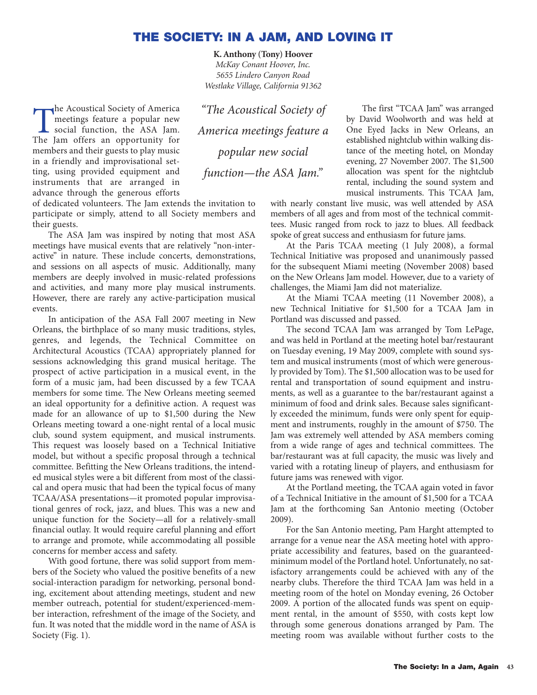## **THE SOCIETY: IN A JAM, AND LOVING IT**

**K. Anthony (Tony) Hoover** *McKay Conant Hoover, Inc. 5655 Lindero Canyon Road Westlake Village, California 91362*

The Acoustical Society of America<br>meetings feature a popular new<br>social function, the ASA Jam.<br>The Jam offers an opportunity for meetings feature a popular new social function, the ASA Jam. The Jam offers an opportunity for members and their guests to play music in a friendly and improvisational setting, using provided equipment and instruments that are arranged in advance through the generous efforts

*"The Acoustical Society of America meetings feature a popular new social function—the ASA Jam."*

of dedicated volunteers. The Jam extends the invitation to participate or simply, attend to all Society members and their guests.

The ASA Jam was inspired by noting that most ASA meetings have musical events that are relatively "non-interactive" in nature. These include concerts, demonstrations, and sessions on all aspects of music. Additionally, many members are deeply involved in music-related professions and activities, and many more play musical instruments. However, there are rarely any active-participation musical events.

In anticipation of the ASA Fall 2007 meeting in New Orleans, the birthplace of so many music traditions, styles, genres, and legends, the Technical Committee on Architectural Acoustics (TCAA) appropriately planned for sessions acknowledging this grand musical heritage. The prospect of active participation in a musical event, in the form of a music jam, had been discussed by a few TCAA members for some time. The New Orleans meeting seemed an ideal opportunity for a definitive action. A request was made for an allowance of up to \$1,500 during the New Orleans meeting toward a one-night rental of a local music club, sound system equipment, and musical instruments. This request was loosely based on a Technical Initiative model, but without a specific proposal through a technical committee. Befitting the New Orleans traditions, the intended musical styles were a bit different from most of the classical and opera music that had been the typical focus of many TCAA/ASA presentations—it promoted popular improvisational genres of rock, jazz, and blues. This was a new and unique function for the Society—all for a relatively-small financial outlay. It would require careful planning and effort to arrange and promote, while accommodating all possible concerns for member access and safety.

With good fortune, there was solid support from members of the Society who valued the positive benefits of a new social-interaction paradigm for networking, personal bonding, excitement about attending meetings, student and new member outreach, potential for student/experienced-member interaction, refreshment of the image of the Society, and fun. It was noted that the middle word in the name of ASA is Society (Fig. 1).

The first "TCAA Jam" was arranged by David Woolworth and was held at One Eyed Jacks in New Orleans, an established nightclub within walking distance of the meeting hotel, on Monday evening, 27 November 2007. The \$1,500 allocation was spent for the nightclub rental, including the sound system and musical instruments. This TCAA Jam,

with nearly constant live music, was well attended by ASA members of all ages and from most of the technical committees. Music ranged from rock to jazz to blues. All feedback spoke of great success and enthusiasm for future jams.

At the Paris TCAA meeting (1 July 2008), a formal Technical Initiative was proposed and unanimously passed for the subsequent Miami meeting (November 2008) based on the New Orleans Jam model. However, due to a variety of challenges, the Miami Jam did not materialize.

At the Miami TCAA meeting (11 November 2008), a new Technical Initiative for \$1,500 for a TCAA Jam in Portland was discussed and passed.

The second TCAA Jam was arranged by Tom LePage, and was held in Portland at the meeting hotel bar/restaurant on Tuesday evening, 19 May 2009, complete with sound system and musical instruments (most of which were generously provided by Tom). The \$1,500 allocation was to be used for rental and transportation of sound equipment and instruments, as well as a guarantee to the bar/restaurant against a minimum of food and drink sales. Because sales significantly exceeded the minimum, funds were only spent for equipment and instruments, roughly in the amount of \$750. The Jam was extremely well attended by ASA members coming from a wide range of ages and technical committees. The bar/restaurant was at full capacity, the music was lively and varied with a rotating lineup of players, and enthusiasm for future jams was renewed with vigor.

At the Portland meeting, the TCAA again voted in favor of a Technical Initiative in the amount of \$1,500 for a TCAA Jam at the forthcoming San Antonio meeting (October 2009).

For the San Antonio meeting, Pam Harght attempted to arrange for a venue near the ASA meeting hotel with appropriate accessibility and features, based on the guaranteedminimum model of the Portland hotel. Unfortunately, no satisfactory arrangements could be achieved with any of the nearby clubs. Therefore the third TCAA Jam was held in a meeting room of the hotel on Monday evening, 26 October 2009. A portion of the allocated funds was spent on equipment rental, in the amount of \$550, with costs kept low through some generous donations arranged by Pam. The meeting room was available without further costs to the